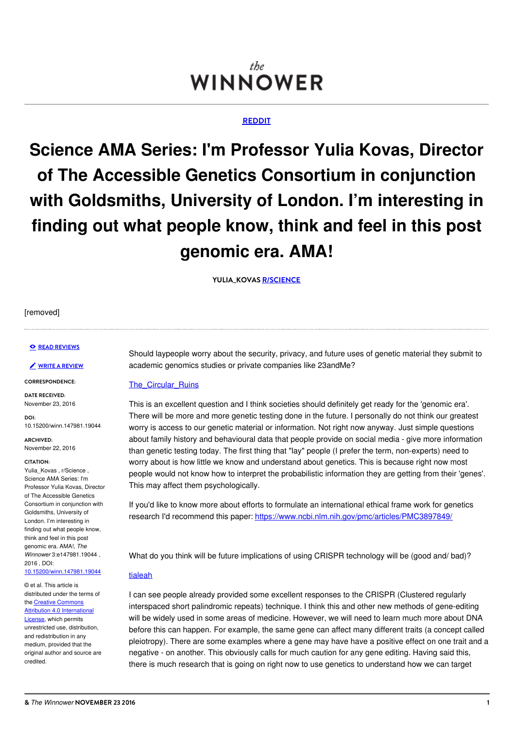# the WINNOWER

# **REDDIT**

**Science AMA Series: I'm Professor Yulia Kovas, Director of The Accessible Genetics Consortium in conjunction with Goldsmiths, University of London. I'm interesting in finding out what people know, think and feel in this post genomic era. AMA!**

**YULIA\_KOVAS [R/SCIENCE](/users/814)**

#### [removed]

#### **READ [REVIEWS](https://thewinnower.com/papers/5704-science-ama-series-i-m-professor-yulia-kovas-director-of-the-accessible-genetics-consortium-in-conjunction-with-goldsmiths-university-of-london-i-m-interesting-in-finding-out-what-people-know-think-and-feel-in-this-post-genomic-era-ama#submit)**

#### **WRITE A [REVIEW](https://thewinnower.com/papers/5704-science-ama-series-i-m-professor-yulia-kovas-director-of-the-accessible-genetics-consortium-in-conjunction-with-goldsmiths-university-of-london-i-m-interesting-in-finding-out-what-people-know-think-and-feel-in-this-post-genomic-era-ama#submit)** ✎

#### **CORRESPONDENCE:**

**DATE RECEIVED:** November 23, 2016

**DOI:** 10.15200/winn.147981.19044

**ARCHIVED:** November 22, 2016

#### **CITATION:**

Yulia\_Kovas , r/Science , Science AMA Series: I'm Professor Yulia Kovas, Director of The Accessible Genetics Consortium in conjunction with Goldsmiths, University of London. I'm interesting in finding out what people know, think and feel in this post genomic era. AMA!, *The Winnower* 3:e147981.19044 , 2016 , DOI:

# [10.15200/winn.147981.19044](https://dx.doi.org/10.15200/winn.147981.19044)

© et al. This article is distributed under the terms of the Creative Commons Attribution 4.0 [International](https://creativecommons.org/licenses/by/4.0/) License, which permits

unrestricted use, distribution, and redistribution in any medium, provided that the original author and source are credited.

Should laypeople worry about the security, privacy, and future uses of genetic material they submit to academic genomics studies or private companies like 23andMe?

## The Circular Ruins

This is an excellent question and I think societies should definitely get ready for the 'genomic era'. There will be more and more genetic testing done in the future. I personally do not think our greatest worry is access to our genetic material or information. Not right now anyway. Just simple questions about family history and behavioural data that people provide on social media - give more information than genetic testing today. The first thing that "lay" people (I prefer the term, non-experts) need to worry about is how little we know and understand about genetics. This is because right now most people would not know how to interpret the probabilistic information they are getting from their 'genes'. This may affect them psychologically.

If you'd like to know more about efforts to formulate an international ethical frame work for genetics research I'd recommend this paper: <https://www.ncbi.nlm.nih.gov/pmc/articles/PMC3897849/>

What do you think will be future implications of using CRISPR technology will be (good and/ bad)?

#### [tialeah](https://www.reddit.com/user/tialeah)

I can see people already provided some excellent responses to the CRISPR (Clustered regularly interspaced short palindromic repeats) technique. I think this and other new methods of gene-editing will be widely used in some areas of medicine. However, we will need to learn much more about DNA before this can happen. For example, the same gene can affect many different traits (a concept called pleiotropy). There are some examples where a gene may have have a positive effect on one trait and a negative - on another. This obviously calls for much caution for any gene editing. Having said this, there is much research that is going on right now to use genetics to understand how we can target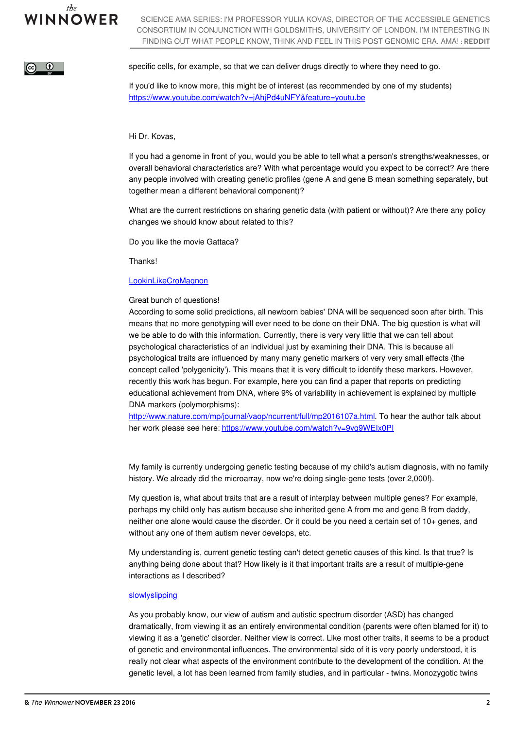



specific cells, for example, so that we can deliver drugs directly to where they need to go.

If you'd like to know more, this might be of interest (as recommended by one of my students) <https://www.youtube.com/watch?v=jAhjPd4uNFY&feature=youtu.be>

## Hi Dr. Kovas,

If you had a genome in front of you, would you be able to tell what a person's strengths/weaknesses, or overall behavioral characteristics are? With what percentage would you expect to be correct? Are there any people involved with creating genetic profiles (gene A and gene B mean something separately, but together mean a different behavioral component)?

What are the current restrictions on sharing genetic data (with patient or without)? Are there any policy changes we should know about related to this?

Do you like the movie Gattaca?

Thanks!

# **[LookinLikeCroMagnon](https://www.reddit.com/user/LookinLikeCroMagnon)**

## Great bunch of questions!

According to some solid predictions, all newborn babies' DNA will be sequenced soon after birth. This means that no more genotyping will ever need to be done on their DNA. The big question is what will we be able to do with this information. Currently, there is very very little that we can tell about psychological characteristics of an individual just by examining their DNA. This is because all psychological traits are influenced by many many genetic markers of very very small effects (the concept called 'polygenicity'). This means that it is very difficult to identify these markers. However, recently this work has begun. For example, here you can find a paper that reports on predicting educational achievement from DNA, where 9% of variability in achievement is explained by multiple DNA markers (polymorphisms):

<http://www.nature.com/mp/journal/vaop/ncurrent/full/mp2016107a.html>. To hear the author talk about her work please see here: <https://www.youtube.com/watch?v=9vq9WEIx0PI>

My family is currently undergoing genetic testing because of my child's autism diagnosis, with no family history. We already did the microarray, now we're doing single-gene tests (over 2,000!).

My question is, what about traits that are a result of interplay between multiple genes? For example, perhaps my child only has autism because she inherited gene A from me and gene B from daddy, neither one alone would cause the disorder. Or it could be you need a certain set of 10+ genes, and without any one of them autism never develops, etc.

My understanding is, current genetic testing can't detect genetic causes of this kind. Is that true? Is anything being done about that? How likely is it that important traits are a result of multiple-gene interactions as I described?

# [slowlyslipping](https://www.reddit.com/user/slowlyslipping)

As you probably know, our view of autism and autistic spectrum disorder (ASD) has changed dramatically, from viewing it as an entirely environmental condition (parents were often blamed for it) to viewing it as a 'genetic' disorder. Neither view is correct. Like most other traits, it seems to be a product of genetic and environmental influences. The environmental side of it is very poorly understood, it is really not clear what aspects of the environment contribute to the development of the condition. At the genetic level, a lot has been learned from family studies, and in particular - twins. Monozygotic twins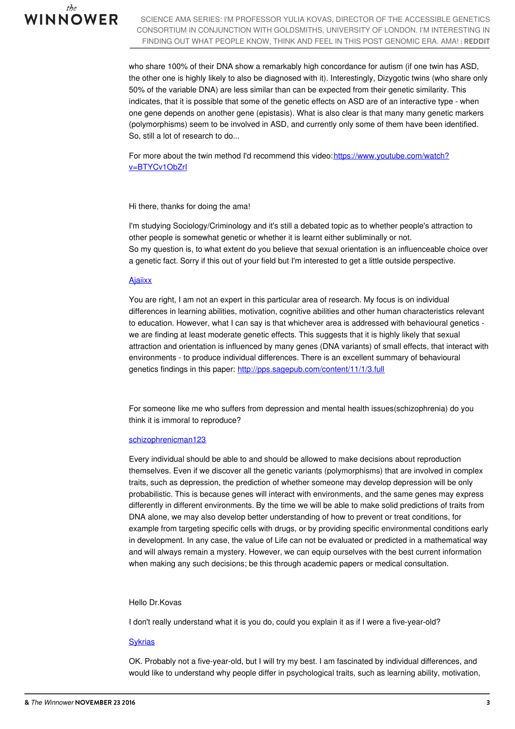

who share 100% of their DNA show a remarkably high concordance for autism (if one twin has ASD, the other one is highly likely to also be diagnosed with it). Interestingly, Dizygotic twins (who share only 50% of the variable DNA) are less similar than can be expected from their genetic similarity. This indicates, that it is possible that some of the genetic effects on ASD are of an interactive type - when one gene depends on another gene (epistasis). What is also clear is that many many genetic markers (polymorphisms) seem to be involved in ASD, and currently only some of them have been identified. So, still a lot of research to do...

For more about the twin method I'd recommend this [video:https://www.youtube.com/watch?](https://www.youtube.com/watch?v=BTYCv1ObZrI) v=BTYCv1ObZrI

#### Hi there, thanks for doing the ama!

I'm studying Sociology/Criminology and it's still a debated topic as to whether people's attraction to other people is somewhat genetic or whether it is learnt either subliminally or not. So my question is, to what extent do you believe that sexual orientation is an influenceable choice over a genetic fact. Sorry if this out of your field but I'm interested to get a little outside perspective.

# **[Ajaiixx](https://www.reddit.com/user/Ajaiixx)**

You are right, I am not an expert in this particular area of research. My focus is on individual differences in learning abilities, motivation, cognitive abilities and other human characteristics relevant to education. However, what I can say is that whichever area is addressed with behavioural genetics we are finding at least moderate genetic effects. This suggests that it is highly likely that sexual attraction and orientation is influenced by many genes (DNA variants) of small effects, that interact with environments - to produce individual differences. There is an excellent summary of behavioural genetics findings in this paper: <http://pps.sagepub.com/content/11/1/3.full>

For someone like me who suffers from depression and mental health issues(schizophrenia) do you think it is immoral to reproduce?

## [schizophrenicman123](https://www.reddit.com/user/schizophrenicman123)

Every individual should be able to and should be allowed to make decisions about reproduction themselves. Even if we discover all the genetic variants (polymorphisms) that are involved in complex traits, such as depression, the prediction of whether someone may develop depression will be only probabilistic. This is because genes will interact with environments, and the same genes may express differently in different environments. By the time we will be able to make solid predictions of traits from DNA alone, we may also develop better understanding of how to prevent or treat conditions, for example from targeting specific cells with drugs, or by providing specific environmental conditions early in development. In any case, the value of Life can not be evaluated or predicted in a mathematical way and will always remain a mystery. However, we can equip ourselves with the best current information when making any such decisions; be this through academic papers or medical consultation.

## Hello Dr.Kovas

I don't really understand what it is you do, could you explain it as if I were a five-year-old?

## **[Sykrias](https://www.reddit.com/user/Sykrias)**

OK. Probably not a five-year-old, but I will try my best. I am fascinated by individual differences, and would like to understand why people differ in psychological traits, such as learning ability, motivation,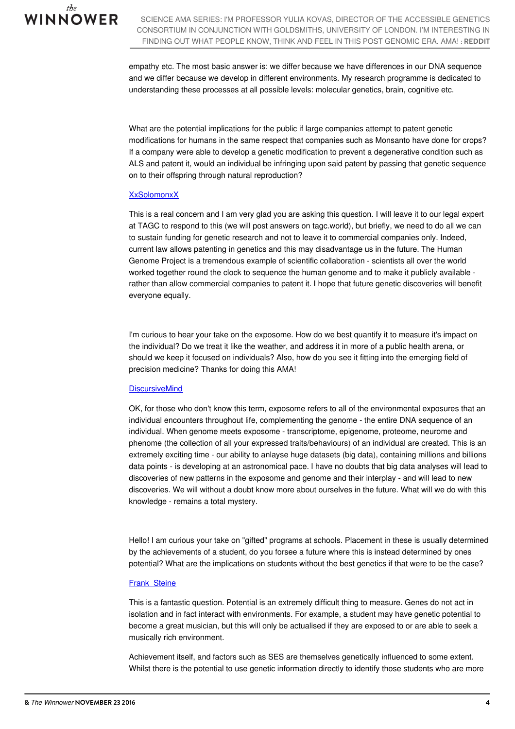

empathy etc. The most basic answer is: we differ because we have differences in our DNA sequence and we differ because we develop in different environments. My research programme is dedicated to understanding these processes at all possible levels: molecular genetics, brain, cognitive etc.

What are the potential implications for the public if large companies attempt to patent genetic modifications for humans in the same respect that companies such as Monsanto have done for crops? If a company were able to develop a genetic modification to prevent a degenerative condition such as ALS and patent it, would an individual be infringing upon said patent by passing that genetic sequence on to their offspring through natural reproduction?

#### [XxSolomonxX](https://www.reddit.com/user/XxSolomonxX)

This is a real concern and I am very glad you are asking this question. I will leave it to our legal expert at TAGC to respond to this (we will post answers on tagc.world), but briefly, we need to do all we can to sustain funding for genetic research and not to leave it to commercial companies only. Indeed, current law allows patenting in genetics and this may disadvantage us in the future. The Human Genome Project is a tremendous example of scientific collaboration - scientists all over the world worked together round the clock to sequence the human genome and to make it publicly available rather than allow commercial companies to patent it. I hope that future genetic discoveries will benefit everyone equally.

I'm curious to hear your take on the exposome. How do we best quantify it to measure it's impact on the individual? Do we treat it like the weather, and address it in more of a public health arena, or should we keep it focused on individuals? Also, how do you see it fitting into the emerging field of precision medicine? Thanks for doing this AMA!

## **[DiscursiveMind](https://www.reddit.com/user/DiscursiveMind)**

OK, for those who don't know this term, exposome refers to all of the environmental exposures that an individual encounters throughout life, complementing the genome - the entire DNA sequence of an individual. When genome meets exposome - transcriptome, epigenome, proteome, neurome and phenome (the collection of all your expressed traits/behaviours) of an individual are created. This is an extremely exciting time - our ability to anlayse huge datasets (big data), containing millions and billions data points - is developing at an astronomical pace. I have no doubts that big data analyses will lead to discoveries of new patterns in the exposome and genome and their interplay - and will lead to new discoveries. We will without a doubt know more about ourselves in the future. What will we do with this knowledge - remains a total mystery.

Hello! I am curious your take on "gifted" programs at schools. Placement in these is usually determined by the achievements of a student, do you forsee a future where this is instead determined by ones potential? What are the implications on students without the best genetics if that were to be the case?

# **[Frank\\_Steine](https://www.reddit.com/user/Frank_Steine)**

This is a fantastic question. Potential is an extremely difficult thing to measure. Genes do not act in isolation and in fact interact with environments. For example, a student may have genetic potential to become a great musician, but this will only be actualised if they are exposed to or are able to seek a musically rich environment.

Achievement itself, and factors such as SES are themselves genetically influenced to some extent. Whilst there is the potential to use genetic information directly to identify those students who are more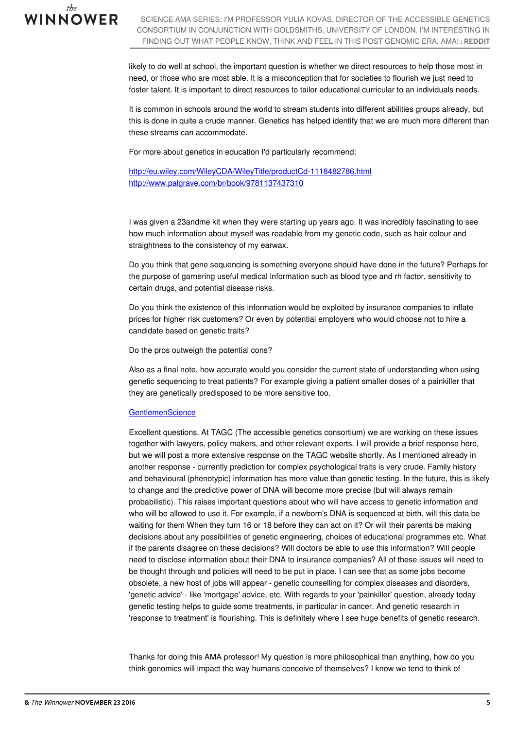

likely to do well at school, the important question is whether we direct resources to help those most in need, or those who are most able. It is a misconception that for societies to flourish we just need to foster talent. It is important to direct resources to tailor educational curricular to an individuals needs.

It is common in schools around the world to stream students into different abilities groups already, but this is done in quite a crude manner. Genetics has helped identify that we are much more different than these streams can accommodate.

For more about genetics in education I'd particularly recommend:

<http://eu.wiley.com/WileyCDA/WileyTitle/productCd-1118482786.html> <http://www.palgrave.com/br/book/9781137437310>

I was given a 23andme kit when they were starting up years ago. It was incredibly fascinating to see how much information about myself was readable from my genetic code, such as hair colour and straightness to the consistency of my earwax.

Do you think that gene sequencing is something everyone should have done in the future? Perhaps for the purpose of garnering useful medical information such as blood type and rh factor, sensitivity to certain drugs, and potential disease risks.

Do you think the existence of this information would be exploited by insurance companies to inflate prices for higher risk customers? Or even by potential employers who would choose not to hire a candidate based on genetic traits?

Do the pros outweigh the potential cons?

Also as a final note, how accurate would you consider the current state of understanding when using genetic sequencing to treat patients? For example giving a patient smaller doses of a painkiller that they are genetically predisposed to be more sensitive too.

## **[GentlemenScience](https://www.reddit.com/user/GentlemenScience)**

Excellent questions. At TAGC (The accessible genetics consortium) we are working on these issues together with lawyers, policy makers, and other relevant experts. I will provide a brief response here, but we will post a more extensive response on the TAGC website shortly. As I mentioned already in another response - currently prediction for complex psychological traits is very crude. Family history and behavioural (phenotypic) information has more value than genetic testing. In the future, this is likely to change and the predictive power of DNA will become more precise (but will always remain probabilistic). This raises important questions about who will have access to genetic information and who will be allowed to use it. For example, if a newborn's DNA is sequenced at birth, will this data be waiting for them When they turn 16 or 18 before they can act on it? Or will their parents be making decisions about any possibilities of genetic engineering, choices of educational programmes etc. What if the parents disagree on these decisions? Will doctors be able to use this information? Will people need to disclose information about their DNA to insurance companies? All of these issues will need to be thought through and policies will need to be put in place. I can see that as some jobs become obsolete, a new host of jobs will appear - genetic counselling for complex diseases and disorders, 'genetic advice' - like 'mortgage' advice, etc. With regards to your 'painkiller' question, already today genetic testing helps to guide some treatments, in particular in cancer. And genetic research in 'response to treatment' is flourishing. This is definitely where I see huge benefits of genetic research.

Thanks for doing this AMA professor! My question is more philosophical than anything, how do you think genomics will impact the way humans conceive of themselves? I know we tend to think of